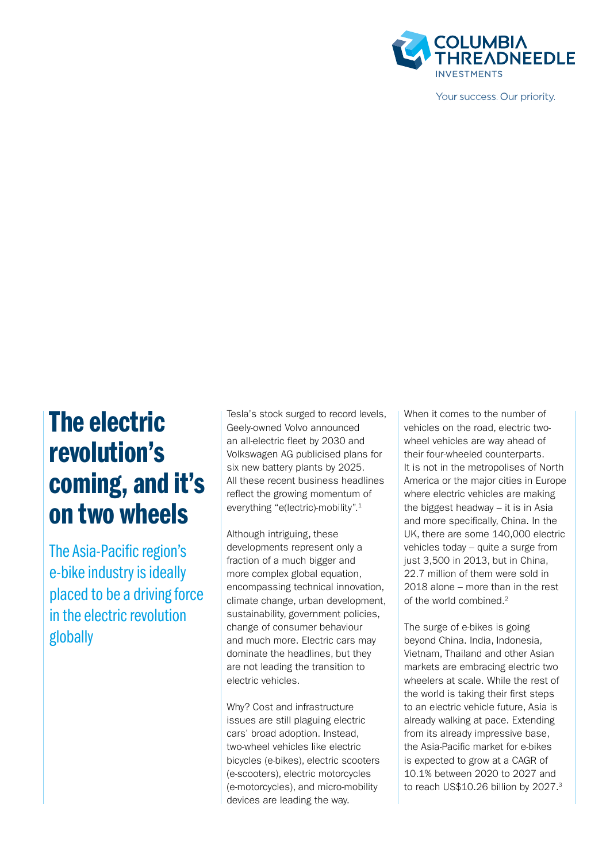

Your success. Our priority.

# The electric revolution's coming, and it's on two wheels

The Asia-Pacific region's e-bike industry is ideally placed to be a driving force in the electric revolution globally

Tesla's stock surged to record levels, Geely-owned Volvo announced an all-electric fleet by 2030 and Volkswagen AG publicised plans for six new battery plants by 2025. All these recent business headlines reflect the growing momentum of everything "e(lectric)-mobility".1

Although intriguing, these developments represent only a fraction of a much bigger and more complex global equation, encompassing technical innovation, climate change, urban development, sustainability, government policies, change of consumer behaviour and much more. Electric cars may dominate the headlines, but they are not leading the transition to electric vehicles.

Why? Cost and infrastructure issues are still plaguing electric cars' broad adoption. Instead, two-wheel vehicles like electric bicycles (e-bikes), electric scooters (e-scooters), electric motorcycles (e-motorcycles), and micro-mobility devices are leading the way.

When it comes to the number of vehicles on the road, electric twowheel vehicles are way ahead of their four-wheeled counterparts. It is not in the metropolises of North America or the major cities in Europe where electric vehicles are making the biggest headway – it is in Asia and more specifically, China. In the UK, there are some 140,000 electric vehicles today – quite a surge from just 3,500 in 2013, but in China, 22.7 million of them were sold in 2018 alone – more than in the rest of the world combined.2

The surge of e-bikes is going beyond China. India, Indonesia, Vietnam, Thailand and other Asian markets are embracing electric two wheelers at scale. While the rest of the world is taking their first steps to an electric vehicle future, Asia is already walking at pace. Extending from its already impressive base, the Asia-Pacific market for e-bikes is expected to grow at a CAGR of 10.1% between 2020 to 2027 and to reach US\$10.26 billion by 2027.3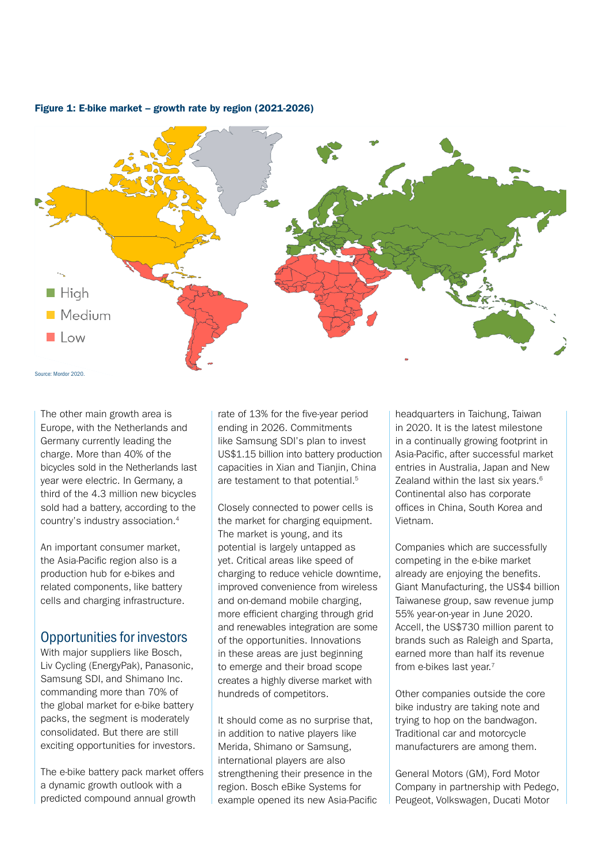

#### Figure 1: E-bike market – growth rate by region (2021-2026)

The other main growth area is Europe, with the Netherlands and Germany currently leading the charge. More than 40% of the bicycles sold in the Netherlands last year were electric. In Germany, a third of the 4.3 million new bicycles sold had a battery, according to the country's industry association.4

An important consumer market, the Asia-Pacific region also is a production hub for e-bikes and related components, like battery cells and charging infrastructure.

## Opportunities for investors

With major suppliers like Bosch, Liv Cycling (EnergyPak), Panasonic, Samsung SDI, and Shimano Inc. commanding more than 70% of the global market for e-bike battery packs, the segment is moderately consolidated. But there are still exciting opportunities for investors.

The e-bike battery pack market offers a dynamic growth outlook with a predicted compound annual growth

rate of 13% for the five-year period ending in 2026. Commitments like Samsung SDI's plan to invest US\$1.15 billion into battery production capacities in Xian and Tianjin, China are testament to that potential.<sup>5</sup>

Closely connected to power cells is the market for charging equipment. The market is young, and its potential is largely untapped as yet. Critical areas like speed of charging to reduce vehicle downtime, improved convenience from wireless and on-demand mobile charging, more efficient charging through grid and renewables integration are some of the opportunities. Innovations in these areas are just beginning to emerge and their broad scope creates a highly diverse market with hundreds of competitors.

It should come as no surprise that, in addition to native players like Merida, Shimano or Samsung, international players are also strengthening their presence in the region. Bosch eBike Systems for example opened its new Asia-Pacific

headquarters in Taichung, Taiwan in 2020. It is the latest milestone in a continually growing footprint in Asia-Pacific, after successful market entries in Australia, Japan and New Zealand within the last six years.<sup>6</sup> Continental also has corporate offices in China, South Korea and Vietnam.

Companies which are successfully competing in the e-bike market already are enjoying the benefits. Giant Manufacturing, the US\$4 billion Taiwanese group, saw revenue jump 55% year-on-year in June 2020. Accell, the US\$730 million parent to brands such as Raleigh and Sparta, earned more than half its revenue from e-bikes last year.<sup>7</sup>

Other companies outside the core bike industry are taking note and trying to hop on the bandwagon. Traditional car and motorcycle manufacturers are among them.

General Motors (GM), Ford Motor Company in partnership with Pedego, Peugeot, Volkswagen, Ducati Motor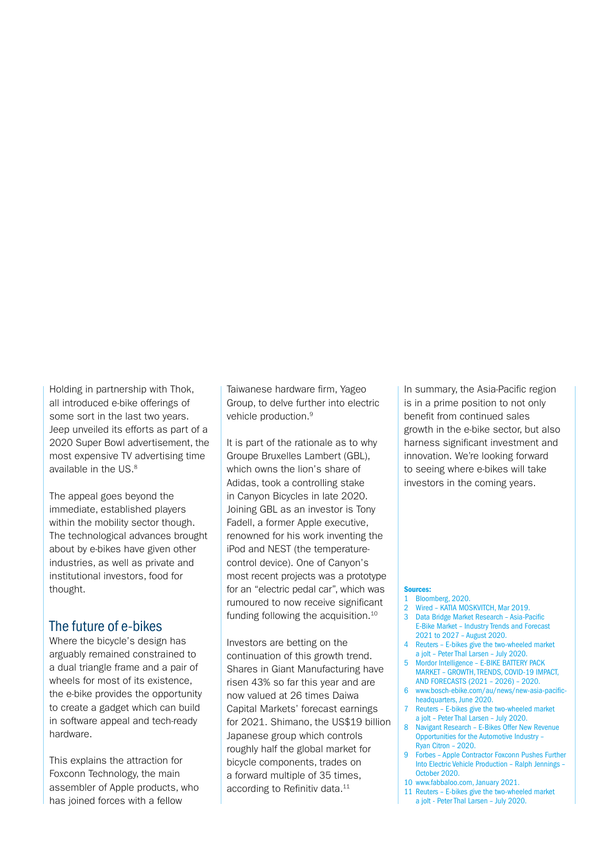Holding in partnership with Thok, all introduced e-bike offerings of some sort in the last two years. Jeep unveiled its efforts as part of a 2020 Super Bowl advertisement, the most expensive TV advertising time available in the US.<sup>8</sup>

The appeal goes beyond the immediate, established players within the mobility sector though. The technological advances brought about by e-bikes have given other industries, as well as private and institutional investors, food for thought.

### The future of e-bikes

Where the bicycle's design has arguably remained constrained to a dual triangle frame and a pair of wheels for most of its existence, the e-bike provides the opportunity to create a gadget which can build in software appeal and tech-ready hardware.

This explains the attraction for Foxconn Technology, the main assembler of Apple products, who has joined forces with a fellow

Taiwanese hardware firm, Yageo Group, to delve further into electric vehicle production.9

It is part of the rationale as to why Groupe Bruxelles Lambert (GBL), which owns the lion's share of Adidas, took a controlling stake in Canyon Bicycles in late 2020. Joining GBL as an investor is Tony Fadell, a former Apple executive, renowned for his work inventing the iPod and NEST (the temperaturecontrol device). One of Canyon's most recent projects was a prototype for an "electric pedal car", which was rumoured to now receive significant funding following the acquisition.<sup>10</sup>

Investors are betting on the continuation of this growth trend. Shares in Giant Manufacturing have risen 43% so far this year and are now valued at 26 times Daiwa Capital Markets' forecast earnings for 2021. Shimano, the US\$19 billion Japanese group which controls roughly half the global market for bicycle components, trades on a forward multiple of 35 times, according to Refinitiv data.<sup>11</sup>

In summary, the Asia-Pacific region is in a prime position to not only benefit from continued sales growth in the e-bike sector, but also harness significant investment and innovation. We're looking forward to seeing where e-bikes will take investors in the coming years.

#### Sources:

- 1 Bloomberg, 2020.
- 2 Wired KATIA MOSKVITCH, Mar 2019.
- 3 Data Bridge Market Research Asia-Pacific E-Bike Market – Industry Trends and Forecast 2021 to 2027 – August 2020.
- 4 Reuters E-bikes give the two-wheeled market a jolt – Peter Thal Larsen – July 2020.
- 5 Mordor Intelligence E-BIKE BATTERY PACK
- MARKET GROWTH, TRENDS, COVID-19 IMPACT, AND FORECASTS (2021 – 2026) – 2020.
- 6  [www.bosch-ebike.com/au/news/new-asia-pacific](http://www.bosch-ebike.com/au/news/new-asia-pacific-headquarters)[headquarters,](http://www.bosch-ebike.com/au/news/new-asia-pacific-headquarters) June 2020.
- 7 Reuters E-bikes give the two-wheeled market a jolt – Peter Thal Larsen – July 2020.
- 8 Navigant Research E-Bikes Offer New Revenue Opportunities for the Automotive Industry – Ryan Citron – 2020.
- 9 Forbes Apple Contractor Foxconn Pushes Further Into Electric Vehicle Production – Ralph Jennings – October 2020.
- 10 [www.fabbaloo.com,](http://www.fabbaloo.com) January 2021.
- 11 Reuters E-bikes give the two-wheeled market a jolt - Peter Thal Larsen – July 2020.